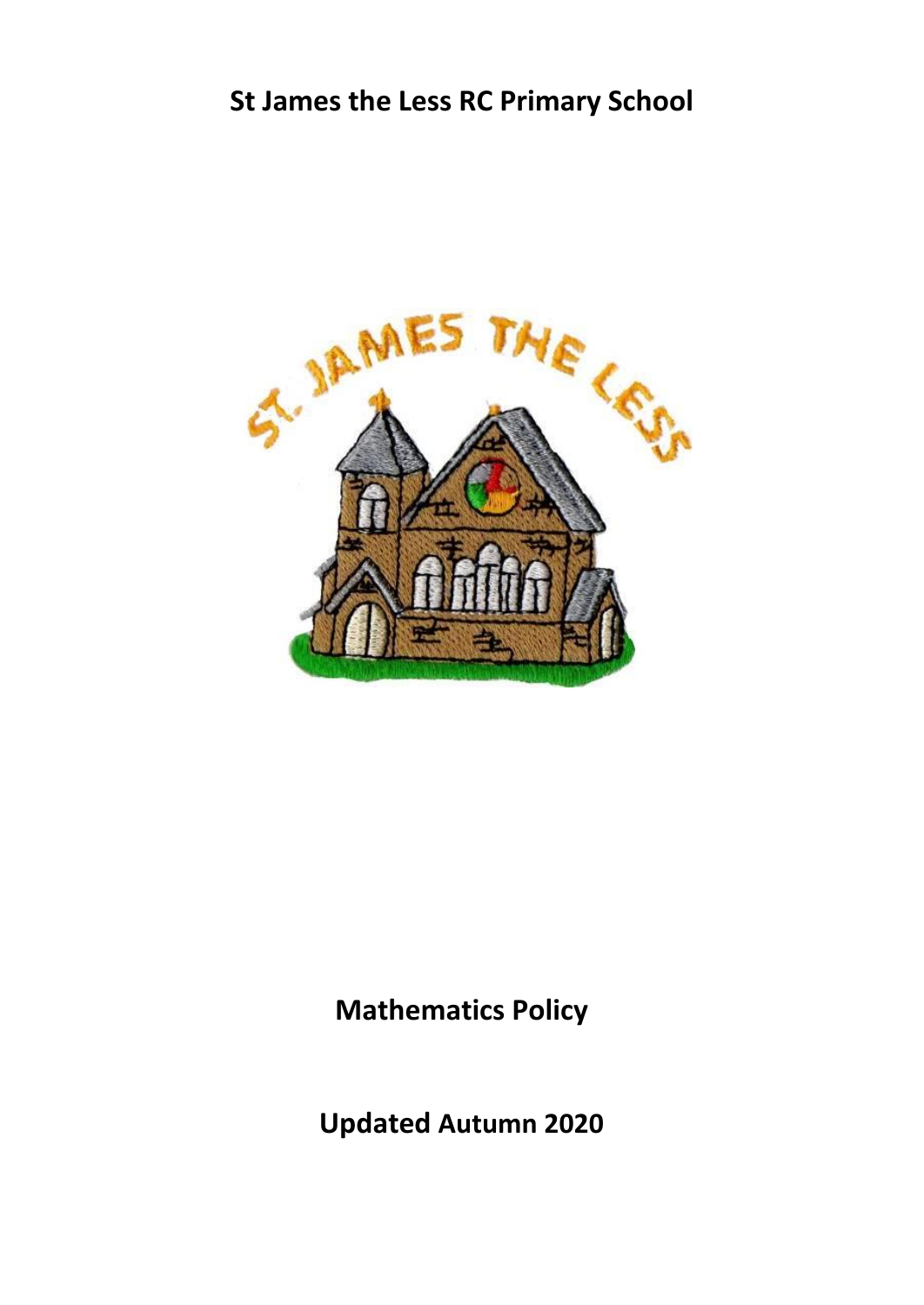# **St James the Less RC Primary School**



## **Mathematics Policy**

**Updated Autumn 2020**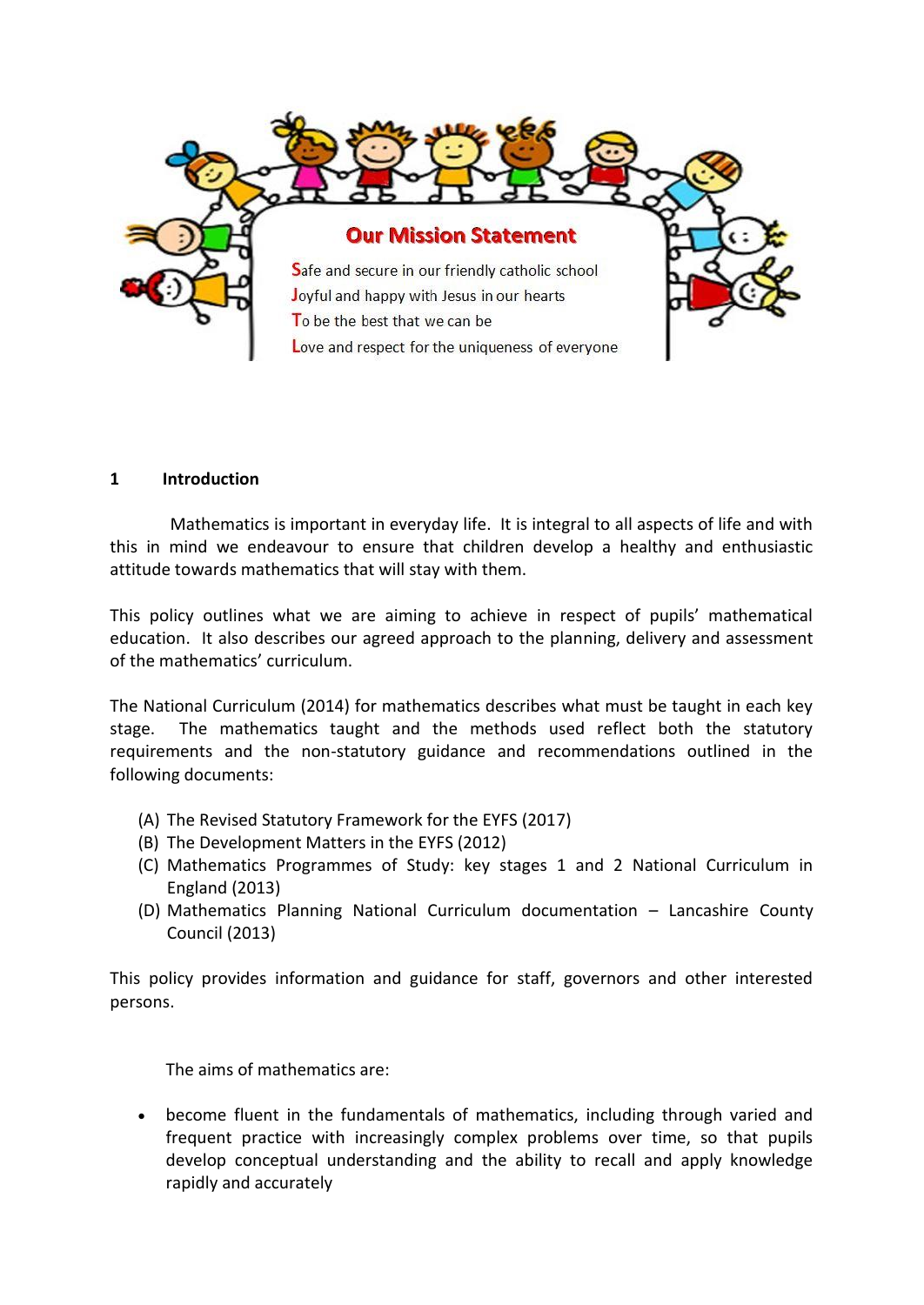

#### **1 Introduction**

Mathematics is important in everyday life. It is integral to all aspects of life and with this in mind we endeavour to ensure that children develop a healthy and enthusiastic attitude towards mathematics that will stay with them.

This policy outlines what we are aiming to achieve in respect of pupils' mathematical education. It also describes our agreed approach to the planning, delivery and assessment of the mathematics' curriculum.

The National Curriculum (2014) for mathematics describes what must be taught in each key stage. The mathematics taught and the methods used reflect both the statutory requirements and the non-statutory guidance and recommendations outlined in the following documents:

- (A) The Revised Statutory Framework for the EYFS (2017)
- (B) The Development Matters in the EYFS (2012)
- (C) Mathematics Programmes of Study: key stages 1 and 2 National Curriculum in England (2013)
- (D) Mathematics Planning National Curriculum documentation Lancashire County Council (2013)

This policy provides information and guidance for staff, governors and other interested persons.

The aims of mathematics are:

 become fluent in the fundamentals of mathematics, including through varied and frequent practice with increasingly complex problems over time, so that pupils develop conceptual understanding and the ability to recall and apply knowledge rapidly and accurately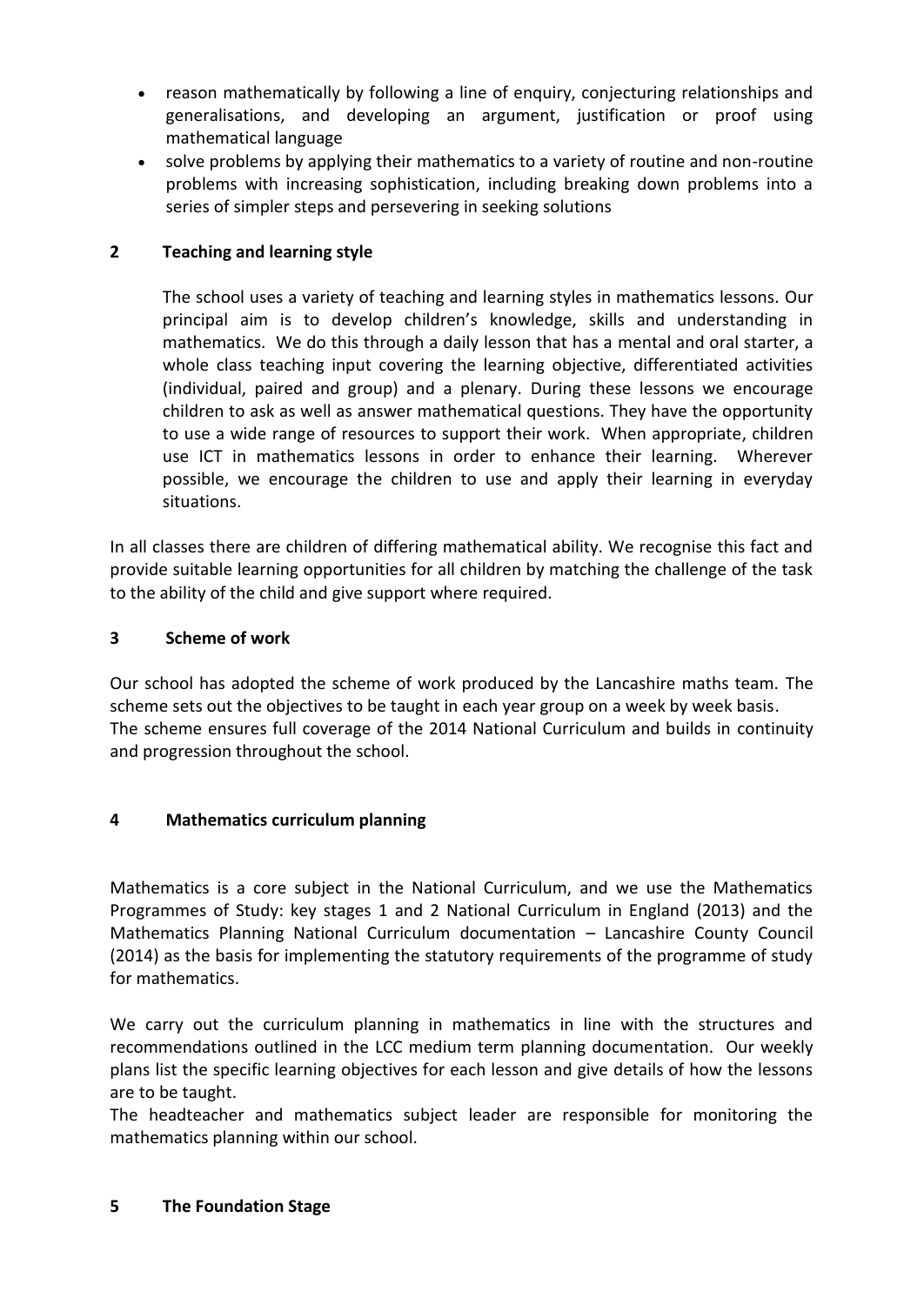- reason mathematically by following a line of enquiry, conjecturing relationships and generalisations, and developing an argument, justification or proof using mathematical language
- solve problems by applying their mathematics to a variety of routine and non-routine problems with increasing sophistication, including breaking down problems into a series of simpler steps and persevering in seeking solutions

## **2 Teaching and learning style**

The school uses a variety of teaching and learning styles in mathematics lessons. Our principal aim is to develop children's knowledge, skills and understanding in mathematics. We do this through a daily lesson that has a mental and oral starter, a whole class teaching input covering the learning objective, differentiated activities (individual, paired and group) and a plenary. During these lessons we encourage children to ask as well as answer mathematical questions. They have the opportunity to use a wide range of resources to support their work. When appropriate, children use ICT in mathematics lessons in order to enhance their learning. Wherever possible, we encourage the children to use and apply their learning in everyday situations.

In all classes there are children of differing mathematical ability. We recognise this fact and provide suitable learning opportunities for all children by matching the challenge of the task to the ability of the child and give support where required.

## **3 Scheme of work**

Our school has adopted the scheme of work produced by the Lancashire maths team. The scheme sets out the objectives to be taught in each year group on a week by week basis. The scheme ensures full coverage of the 2014 National Curriculum and builds in continuity and progression throughout the school.

## **4 Mathematics curriculum planning**

Mathematics is a core subject in the National Curriculum, and we use the Mathematics Programmes of Study: key stages 1 and 2 National Curriculum in England (2013) and the Mathematics Planning National Curriculum documentation – Lancashire County Council (2014) as the basis for implementing the statutory requirements of the programme of study for mathematics.

We carry out the curriculum planning in mathematics in line with the structures and recommendations outlined in the LCC medium term planning documentation. Our weekly plans list the specific learning objectives for each lesson and give details of how the lessons are to be taught.

The headteacher and mathematics subject leader are responsible for monitoring the mathematics planning within our school.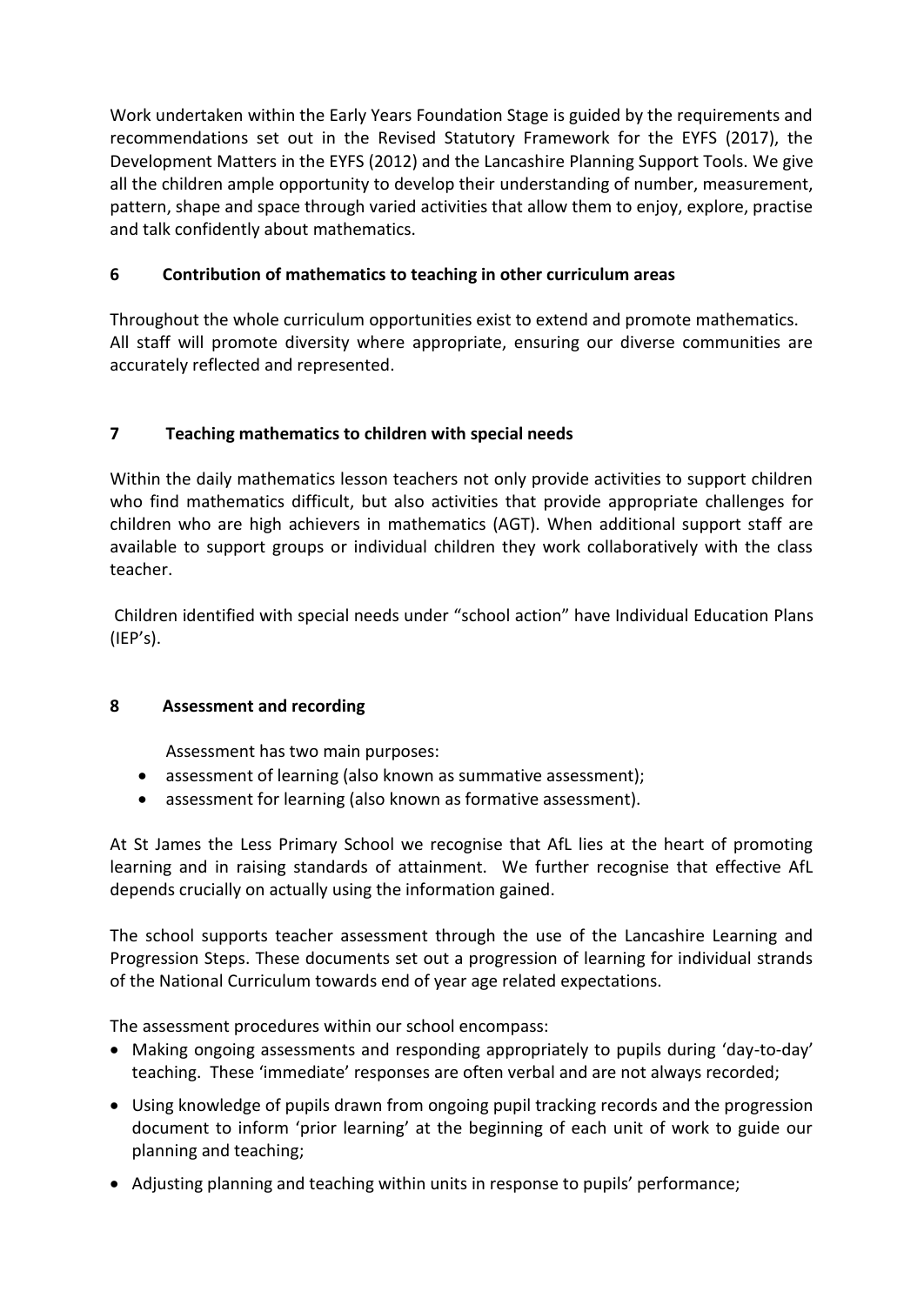Work undertaken within the Early Years Foundation Stage is guided by the requirements and recommendations set out in the Revised Statutory Framework for the EYFS (2017), the Development Matters in the EYFS (2012) and the Lancashire Planning Support Tools. We give all the children ample opportunity to develop their understanding of number, measurement, pattern, shape and space through varied activities that allow them to enjoy, explore, practise and talk confidently about mathematics.

## **6 Contribution of mathematics to teaching in other curriculum areas**

Throughout the whole curriculum opportunities exist to extend and promote mathematics. All staff will promote diversity where appropriate, ensuring our diverse communities are accurately reflected and represented.

## **7 Teaching mathematics to children with special needs**

Within the daily mathematics lesson teachers not only provide activities to support children who find mathematics difficult, but also activities that provide appropriate challenges for children who are high achievers in mathematics (AGT). When additional support staff are available to support groups or individual children they work collaboratively with the class teacher.

Children identified with special needs under "school action" have Individual Education Plans (IEP's).

## **8 Assessment and recording**

Assessment has two main purposes:

- assessment of learning (also known as summative assessment);
- assessment for learning (also known as formative assessment).

At St James the Less Primary School we recognise that AfL lies at the heart of promoting learning and in raising standards of attainment. We further recognise that effective AfL depends crucially on actually using the information gained.

The school supports teacher assessment through the use of the Lancashire Learning and Progression Steps. These documents set out a progression of learning for individual strands of the National Curriculum towards end of year age related expectations.

The assessment procedures within our school encompass:

- Making ongoing assessments and responding appropriately to pupils during 'day-to-day' teaching. These 'immediate' responses are often verbal and are not always recorded;
- Using knowledge of pupils drawn from ongoing pupil tracking records and the progression document to inform 'prior learning' at the beginning of each unit of work to guide our planning and teaching;
- Adjusting planning and teaching within units in response to pupils' performance;